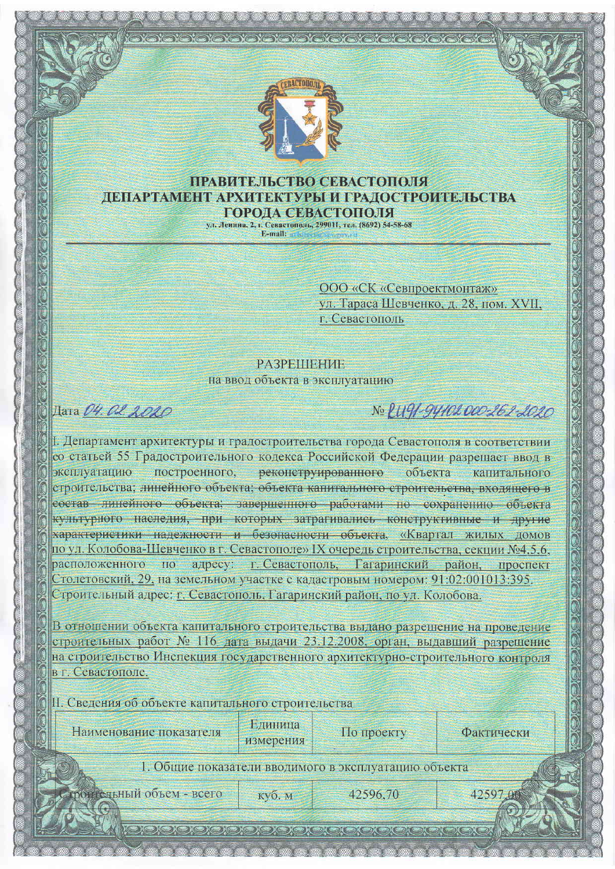

### ПРАВИТЕЛЬСТВО СЕВАСТОПОЛЯ ДЕПАРТАМЕНТ АРХИТЕКТУРЫ И ГРАДОСТРОИТЕЛЬСТВА **ГОРОЛА СЕВАСТОПОЛЯ**

ул. Ленина, 2, г. Севастополь, 299011, тел. (8692) 54-58-68 E-mail:

> ООО «СК «Севпроектмонтаж» ул. Тараса Шевченко, д. 28, пом. XVII. г. Севастополь

## **PA3PEITIEHVE** на ввод объекта в эксплуатацию

# Дата 04. 02. 2020

# No PUGI-GYIOLOOO-262-2020

1. Департамент архитектуры и градостроительства города Севастополя в соответствии со статьей 55 Градостроительного кодекса Российской Федерации разрешает ввод в эксплуатанию построенного, реконструированного объекта капитального строительства; линейного объекта; объекта капитального строительства, входящего в состав линейного объекта; завершенного работами по сохранению объекта культурного наследия, при которых затрагивались конструктивные и другие характеристики надежности и безопасности объекта, «Квартал жилых домов по ул. Колобова-Шевченко в г. Севастополе» IX очередь строительства, секции №4.5.6. адресу: г. Севастополь, Гагаринский район, проспект расположенного по Столетовский, 29, на земельном участке с кадастровым номером: 91:02:001013:395. Строительный адрес: г. Севастополь, Гагаринский район, по ул. Колобова.

В отношении объекта капитального строительства выдано разрешение на проведение строительных работ № 116 дата выдачи 23.12.2008, орган, выдавший разрешение на строительство Инспекция государственного архитектурно-строительного контроля в г. Севастополе.

II. Сведения об объекте капитального строительства

|  | Наименование показателя |  |
|--|-------------------------|--|
|  |                         |  |

Единица измерения

куб. м

По проекту

Фактически

42597.00

1. Общие показатели вводимого в эксплуатацию объекта

ротисльный объем - всего

42596.70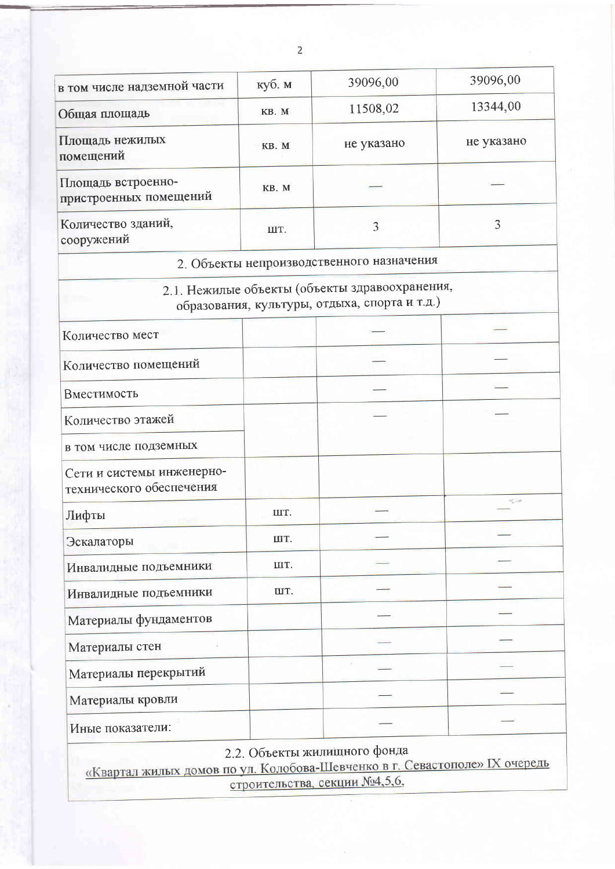| в том числе надземной части                           | куб. м | 39096,00                                                                                        | 39096,00   |
|-------------------------------------------------------|--------|-------------------------------------------------------------------------------------------------|------------|
| Общая площадь                                         | KB. M  | 11508,02                                                                                        | 13344,00   |
| Площадь нежилых<br>помещений                          | KB. M  | не указано                                                                                      | не указано |
| Площадь встроенно-<br>пристроенных помещений          | KB. M  |                                                                                                 |            |
| Количество зданий,<br>сооружений                      | ШT.    | 3                                                                                               | 3          |
|                                                       |        | 2. Объекты непроизводственного назначения                                                       |            |
| a mi                                                  |        | 2.1. Нежилые объекты (объекты здравоохранения,<br>образования, культуры, отдыха, спорта и т.д.) |            |
| Количество мест                                       |        |                                                                                                 |            |
| Количество помещений                                  |        |                                                                                                 |            |
| Вместимость                                           |        |                                                                                                 |            |
| Количество этажей                                     |        |                                                                                                 |            |
| в том числе подземных                                 |        |                                                                                                 |            |
| Сети и системы инженерно-<br>технического обеспечения |        |                                                                                                 |            |
| Лифты                                                 | IIIT.  |                                                                                                 | -1         |
| Эскалаторы                                            | IIIT.  |                                                                                                 |            |
| Инвалидные подъемники                                 | ШT.    |                                                                                                 |            |
| Инвалидные подъемники                                 | IIT.   |                                                                                                 |            |
| Материалы фундаментов                                 |        |                                                                                                 |            |
| Материалы стен                                        |        |                                                                                                 |            |
| Материалы перекрытий                                  |        |                                                                                                 |            |
| Материалы кровли                                      |        |                                                                                                 |            |
|                                                       |        |                                                                                                 |            |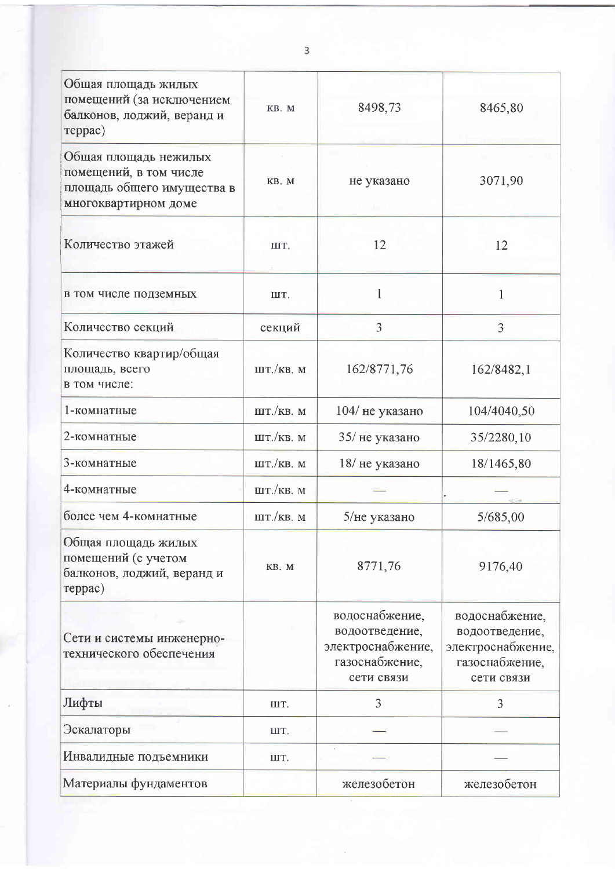| Общая площадь жилых<br>помещений (за исключением<br>балконов, лоджий, веранд и<br>reppac)             | KB. M                      | 8498,73                                                                               | 8465,80                                                                               |
|-------------------------------------------------------------------------------------------------------|----------------------------|---------------------------------------------------------------------------------------|---------------------------------------------------------------------------------------|
| Общая площадь нежилых<br>помещений, в том числе<br>площадь общего имущества в<br>многоквартирном доме | KB. M                      | не указано                                                                            | 3071,90                                                                               |
| Количество этажей                                                                                     | IIIT.                      | 12                                                                                    | 12                                                                                    |
| в том числе подземных                                                                                 | IIT.                       | 1                                                                                     | 1                                                                                     |
| Количество секций                                                                                     | секций                     | 3                                                                                     | 3                                                                                     |
| Количество квартир/общая<br>площадь, всего<br>в том числе:                                            | $\text{IIT.}/\text{KB.}$ M | 162/8771,76                                                                           | 162/8482,1                                                                            |
| 1-комнатные                                                                                           | ШТ./КВ. М                  | 104/ не указано                                                                       | 104/4040,50                                                                           |
| 2-комнатные                                                                                           | IIIT./KB. M                | 35/ не указано                                                                        | 35/2280,10                                                                            |
| 3-комнатные                                                                                           | ШТ./КВ. М                  | 18/не указано                                                                         | 18/1465,80                                                                            |
| 4-комнатные                                                                                           | $\text{III}$ ./KB. M       |                                                                                       |                                                                                       |
| более чем 4-комнатные                                                                                 | $\text{IIT.}/\text{KB.}$ M | 5/не указано                                                                          | 5/685,00                                                                              |
| Общая площадь жилых<br>помещений (с учетом<br>балконов, лоджий, веранд и<br>reppac)                   | KB. M                      | 8771,76                                                                               | 9176,40                                                                               |
| Сети и системы инженерно-<br>технического обеспечения                                                 |                            | водоснабжение,<br>водоотведение,<br>электроснабжение,<br>газоснабжение,<br>сети связи | водоснабжение,<br>водоотведение,<br>электроснабжение,<br>газоснабжение,<br>сети связи |
| Лифты                                                                                                 | ШТ.                        | 3                                                                                     | 3                                                                                     |
| Эскалаторы                                                                                            | ШT.                        |                                                                                       |                                                                                       |
| Инвалидные подъемники                                                                                 | ШТ.                        |                                                                                       |                                                                                       |
| Материалы фундаментов                                                                                 |                            | железобетон                                                                           | железобетон                                                                           |

 $\overline{3}$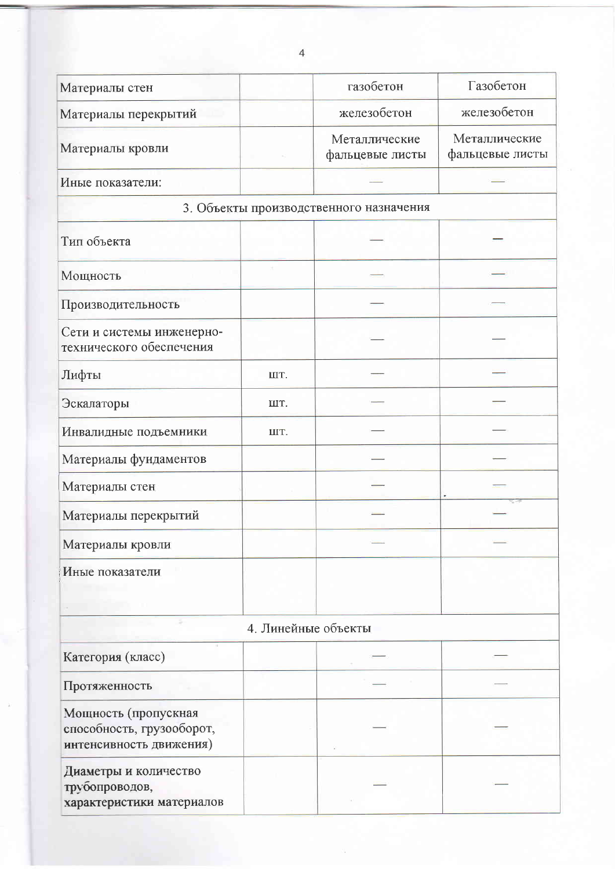| Материалы стен                          | газобетон                        | Газобетон                        |  |  |
|-----------------------------------------|----------------------------------|----------------------------------|--|--|
| Материалы перекрытий                    | железобетон                      | железобетон                      |  |  |
| Материалы кровли                        | Металлические<br>фальцевые листы | Металлические<br>фальцевые листы |  |  |
| Иные показатели:                        |                                  |                                  |  |  |
| 3. Объекты производственного назначения |                                  |                                  |  |  |
| Тип объекта                             |                                  |                                  |  |  |

| Тип объекта                                           |     |  |
|-------------------------------------------------------|-----|--|
| Мощность                                              |     |  |
| Производительность                                    |     |  |
| Сети и системы инженерно-<br>технического обеспечения |     |  |
| Лифты                                                 | ШТ. |  |
| Эскалаторы                                            | ШT. |  |
| Инвалидные подъемники                                 | ШT. |  |
| Материалы фундаментов                                 |     |  |
| Материалы стен                                        |     |  |
| Материалы перекрытий                                  |     |  |
| Материалы кровли                                      |     |  |
| Иные показатели                                       |     |  |

## 4. Линейные объекты

| Категория (класс)                                                            |  |  |
|------------------------------------------------------------------------------|--|--|
| Протяженность                                                                |  |  |
| Мощность (пропускная<br>способность, грузооборот,<br>интенсивность движения) |  |  |
| Диаметры и количество<br>трубопроводов,<br>характеристики материалов         |  |  |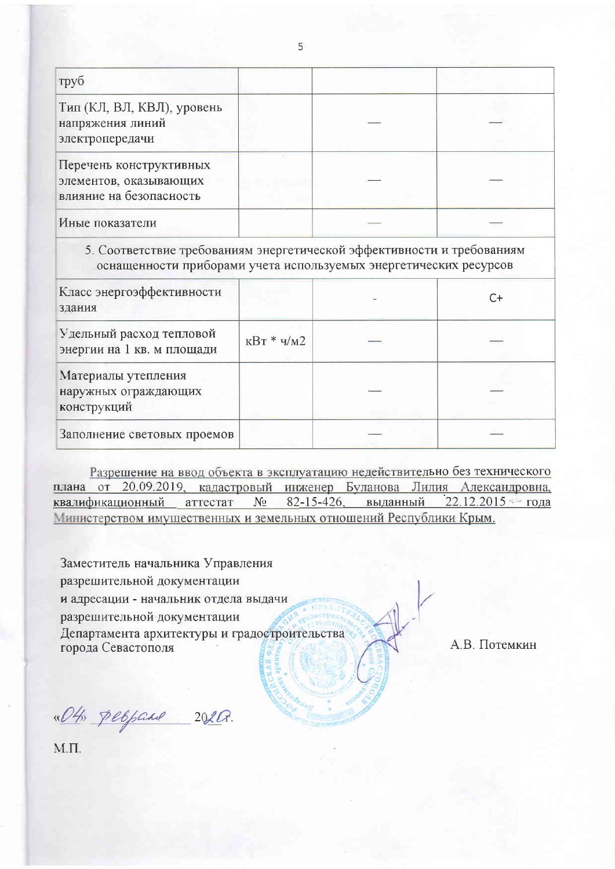| труб                                                                         |  |  |
|------------------------------------------------------------------------------|--|--|
| Тип (КЛ, ВЛ, КВЛ), уровень<br>напряжения линий<br>электропередачи            |  |  |
| Перечень конструктивных<br>элементов, оказывающих<br>влияние на безопасность |  |  |
| Иные показатели                                                              |  |  |

#### 5. Соответствие требованиям энергетической эффективности и требованиям оснащенности приборами учета используемых энергетических ресурсов

| Класс энергоэффективности<br>здания                        |                           | C+ |
|------------------------------------------------------------|---------------------------|----|
| Удельный расход тепловой<br>энергии на 1 кв. м площади     | $\text{kBr} * \text{yM2}$ |    |
| Материалы утепления<br>наружных ограждающих<br>конструкций |                           |    |
| Заполнение световых проемов                                |                           |    |

Разрешение на ввод объекта в эксплуатацию недействительно без технического плана от 20.09.2019, кадастровый инженер Буланова Лилия Александровна, квалификационный аттестат № 82-15-426, выданный 22.12.2015 года Министерством имущественных и земельных отношений Республики Крым.

Заместитель начальника Управления разрешительной документации и адресации - начальник отдела выдачи разрешительной документации Департамента архитектуры и градостроительства города Севастополя

А.В. Потемкин

«Oth peopare 2020.

 $M.\Pi.$